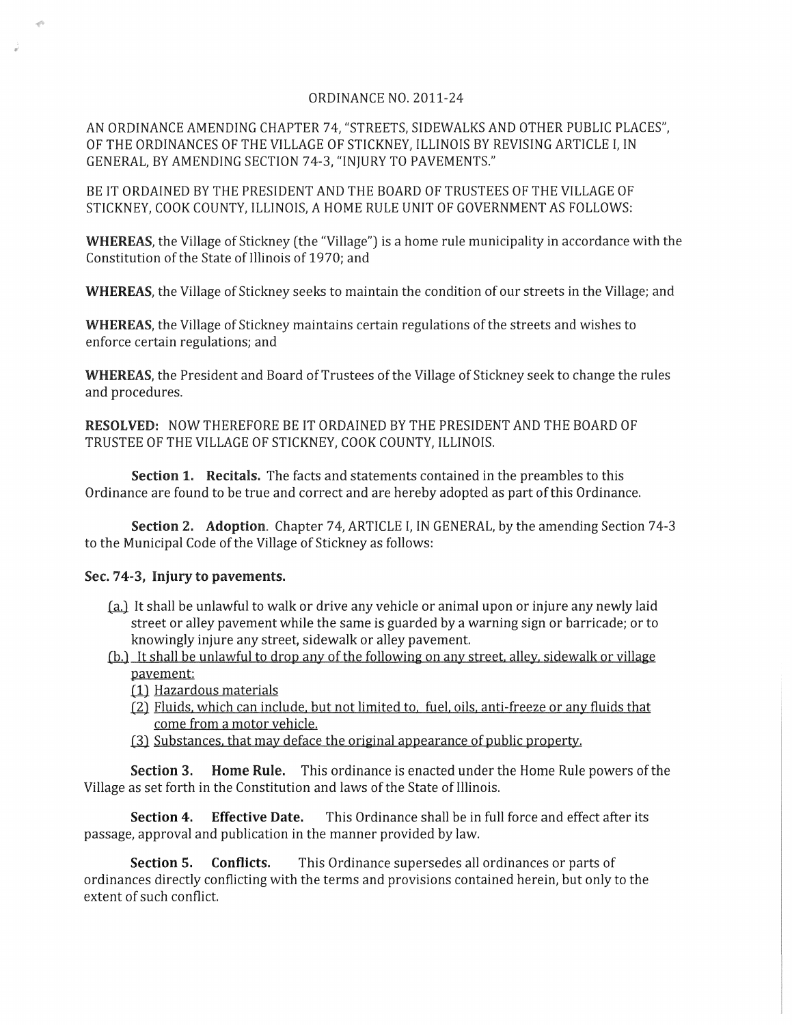## ORDINANCE NO. 2011-24

AN ORDINANCE AMENDING CHAPTER 74, "STREETS, SIDEWALKS AND OTHER PUBLIC PLACES", OF THE ORDINANCES OF THE VILLAGE OF STICKNEY, ILLINOIS BY REVISING ARTICLE I, IN GENERAL, BY AMENDING SECTION 74-3, "INJURY TO PAVEMENTS."

BE IT ORDAINED BY THE PRESIDENT AND THE BOARD OF TRUSTEES OF THE VILLAGE OF STICKNEY, COOK COUNTY, ILLINOIS, A HOME RULE UNIT OF GOVERNMENT AS FOLLOWS:

**WHEREAS,** the Village of Stickney (the "Village") is a home rule municipality in accordance with the Constitution of the State of Illinois of 1970; and

**WHEREAS,** the Village of Stickney seeks to maintain the condition of our streets in the Village; and

**WHEREAS,** the Village of Stickney maintains certain regulations of the streets and wishes to enforce certain regulations; and

**WHEREAS,** the President and Board of Trustees of the Village of Stickney seek to change the rules and procedures.

**RESOLVED:** NOW THEREFORE BE IT ORDAINED BY THE PRESIDENT AND THE BOARD OF TRUSTEE OF THE VILLAGE OF STICKNEY, COOK COUNTY, ILLINOIS.

**Section 1. Recitals.** The facts and statements contained in the preambles to this Ordinance are found to be true and correct and are hereby adopted as part of this Ordinance.

**Section 2. Adoption.** Chapter 74, ARTICLE I, IN GENERAL, by the amending Section 74-3 to the Municipal Code of the Village of Stickney as follows:

## Sec. 74-3, **Injury to pavements.**

- (a.) It shall be unlawful to walk or drive any vehicle or animal upon or injure any newly laid street or alley pavement while the same is guarded by a warning sign or barricade; or to knowingly injure any street, sidewalk or alley pavement.
- (b.) It shall be unlawful to drop any of the following on any street, alley, sidewalk or village pavement:
	- (1) Hazardous materials
	- (2) Fluids, which can include, but not limited to, fuel, oils, anti-freeze or any fluids that come from a motor vehicle.
	- (3) Substances, that may deface the original appearance of public property.

**Section 3. Home Rule.** This ordinance is enacted under the Home Rule powers of the Village as set forth in the Constitution and laws of the State of Illinois.

**Section 4. Effective Date.** This Ordinance shall be in full force and effect after its passage, approval and publication in the manner provided by law.

**Section 5. Conflicts.** This Ordinance supersedes all ordinances or parts of ordinances directly conflicting with the terms and provisions contained herein, but only to the extent of such conflict.